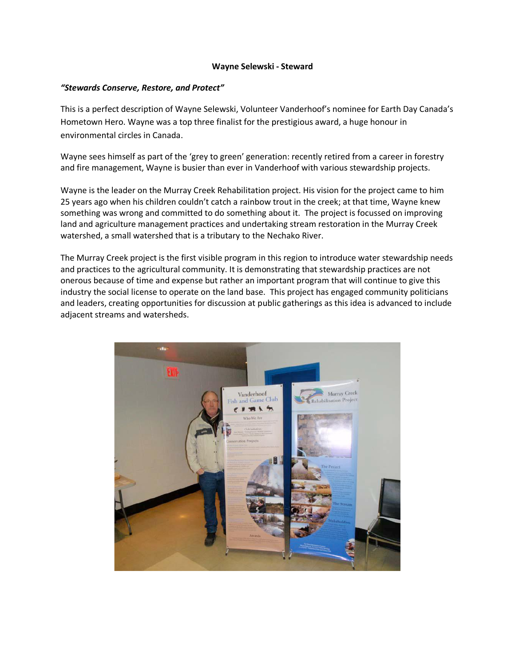## **Wayne Selewski - Steward**

## *"Stewards Conserve, Restore, and Protect"*

This is a perfect description of Wayne Selewski, Volunteer Vanderhoof's nominee for Earth Day Canada's Hometown Hero. Wayne was a top three finalist for the prestigious award, a huge honour in environmental circles in Canada.

Wayne sees himself as part of the 'grey to green' generation: recently retired from a career in forestry and fire management, Wayne is busier than ever in Vanderhoof with various stewardship projects.

Wayne is the leader on the Murray Creek Rehabilitation project. His vision for the project came to him 25 years ago when his children couldn't catch a rainbow trout in the creek; at that time, Wayne knew something was wrong and committed to do something about it. The project is focussed on improving land and agriculture management practices and undertaking stream restoration in the Murray Creek watershed, a small watershed that is a tributary to the Nechako River.

The Murray Creek project is the first visible program in this region to introduce water stewardship needs and practices to the agricultural community. It is demonstrating that stewardship practices are not onerous because of time and expense but rather an important program that will continue to give this industry the social license to operate on the land base. This project has engaged community politicians and leaders, creating opportunities for discussion at public gatherings as this idea is advanced to include adjacent streams and watersheds.